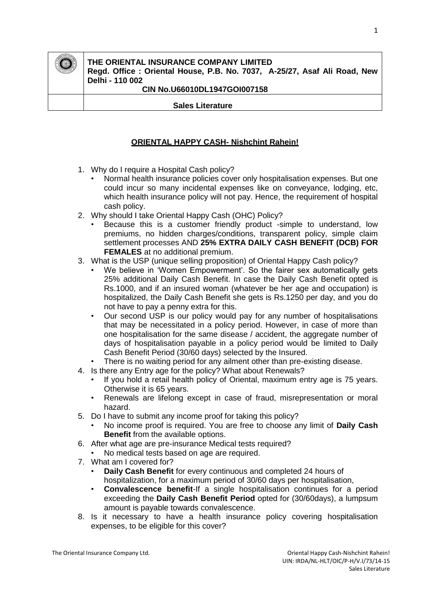

# **THE ORIENTAL INSURANCE COMPANY LIMITED**

**Regd. Office : Oriental House, P.B. No. 7037, A-25/27, Asaf Ali Road, New Delhi - 110 002**

### **CIN No.U66010DL1947GOI007158**

 **Sales Literature** 

## **ORIENTAL HAPPY CASH- Nishchint Rahein!**

- 1. Why do I require a Hospital Cash policy?
	- Normal health insurance policies cover only hospitalisation expenses. But one could incur so many incidental expenses like on conveyance, lodging, etc, which health insurance policy will not pay. Hence, the requirement of hospital cash policy.
- 2. Why should I take Oriental Happy Cash (OHC) Policy?
	- Because this is a customer friendly product -simple to understand, low premiums, no hidden charges/conditions, transparent policy, simple claim settlement processes AND **25% EXTRA DAILY CASH BENEFIT (DCB) FOR FEMALES** at no additional premium.
- 3. What is the USP (unique selling proposition) of Oriental Happy Cash policy?
	- We believe in 'Women Empowerment'. So the fairer sex automatically gets 25% additional Daily Cash Benefit. In case the Daily Cash Benefit opted is Rs.1000, and if an insured woman (whatever be her age and occupation) is hospitalized, the Daily Cash Benefit she gets is Rs.1250 per day, and you do not have to pay a penny extra for this.
	- Our second USP is our policy would pay for any number of hospitalisations that may be necessitated in a policy period. However, in case of more than one hospitalisation for the same disease / accident, the aggregate number of days of hospitalisation payable in a policy period would be limited to Daily Cash Benefit Period (30/60 days) selected by the Insured.
	- There is no waiting period for any ailment other than pre-existing disease.
- 4. Is there any Entry age for the policy? What about Renewals?
	- If you hold a retail health policy of Oriental, maximum entry age is 75 years. Otherwise it is 65 years.
	- Renewals are lifelong except in case of fraud, misrepresentation or moral hazard.
- 5. Do I have to submit any income proof for taking this policy?
	- No income proof is required. You are free to choose any limit of **Daily Cash Benefit** from the available options.
- 6. After what age are pre-insurance Medical tests required?
- No medical tests based on age are required.
- 7. What am I covered for?
	- **Daily Cash Benefit** for every continuous and completed 24 hours of hospitalization, for a maximum period of 30/60 days per hospitalisation,
	- **Convalescence benefit**-If a single hospitalisation continues for a period exceeding the **Daily Cash Benefit Period** opted for (30/60days), a lumpsum amount is payable towards convalescence.
- 8. Is it necessary to have a health insurance policy covering hospitalisation expenses, to be eligible for this cover?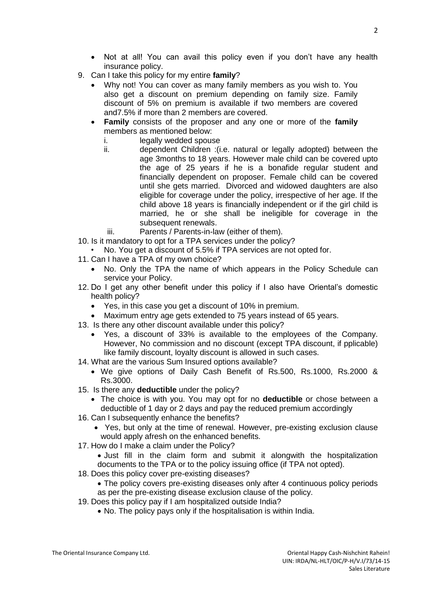- Not at all! You can avail this policy even if you don't have any health insurance policy.
- 9. Can I take this policy for my entire **family**?
	- Why not! You can cover as many family members as you wish to. You also get a discount on premium depending on family size. Family discount of 5% on premium is available if two members are covered and7.5% if more than 2 members are covered.
	- **Family** consists of the proposer and any one or more of the **family** members as mentioned below:
		- i. legally wedded spouse
		- ii. dependent Children :(i.e. natural or legally adopted) between the age 3months to 18 years. However male child can be covered upto the age of 25 years if he is a bonafide regular student and financially dependent on proposer. Female child can be covered until she gets married. Divorced and widowed daughters are also eligible for coverage under the policy, irrespective of her age. If the child above 18 years is financially independent or if the girl child is married, he or she shall be ineligible for coverage in the subsequent renewals.
			- iii. Parents / Parents-in-law (either of them).
- 10. Is it mandatory to opt for a TPA services under the policy?
- No. You get a discount of 5.5% if TPA services are not opted for.
- 11. Can I have a TPA of my own choice?
	- No. Only the TPA the name of which appears in the Policy Schedule can service your Policy.
- 12. Do I get any other benefit under this policy if I also have Oriental's domestic health policy?
	- Yes, in this case you get a discount of 10% in premium.
- Maximum entry age gets extended to 75 years instead of 65 years.
- 13. Is there any other discount available under this policy?
	- Yes, a discount of 33% is available to the employees of the Company. However, No commission and no discount (except TPA discount, if pplicable) like family discount, loyalty discount is allowed in such cases.
- 14. What are the various Sum Insured options available?
	- We give options of Daily Cash Benefit of Rs.500, Rs.1000, Rs.2000 & Rs.3000.
- 15. Is there any **deductible** under the policy?
	- The choice is with you. You may opt for no **deductible** or chose between a deductible of 1 day or 2 days and pay the reduced premium accordingly
- 16. Can I subsequently enhance the benefits?
	- Yes, but only at the time of renewal. However, pre-existing exclusion clause would apply afresh on the enhanced benefits.
- 17. How do I make a claim under the Policy?
	- Just fill in the claim form and submit it alongwith the hospitalization documents to the TPA or to the policy issuing office (if TPA not opted).
- 18. Does this policy cover pre-existing diseases?
	- The policy covers pre-existing diseases only after 4 continuous policy periods
- as per the pre-existing disease exclusion clause of the policy. 19. Does this policy pay if I am hospitalized outside India?
	- No. The policy pays only if the hospitalisation is within India.

 $\mathcal{L}$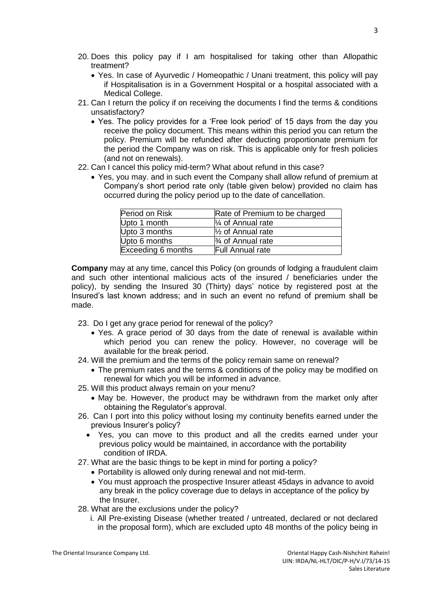- 20. Does this policy pay if I am hospitalised for taking other than Allopathic treatment?
	- Yes. In case of Ayurvedic / Homeopathic / Unani treatment, this policy will pay if Hospitalisation is in a Government Hospital or a hospital associated with a Medical College.
- 21. Can I return the policy if on receiving the documents I find the terms & conditions unsatisfactory?
	- Yes. The policy provides for a 'Free look period' of 15 days from the day you receive the policy document. This means within this period you can return the policy. Premium will be refunded after deducting proportionate premium for the period the Company was on risk. This is applicable only for fresh policies (and not on renewals).
- 22. Can I cancel this policy mid-term? What about refund in this case?
	- Yes, you may. and in such event the Company shall allow refund of premium at Company's short period rate only (table given below) provided no claim has occurred during the policy period up to the date of cancellation.

| Period on Risk     | Rate of Premium to be charged |
|--------------------|-------------------------------|
| Upto 1 month       | $\frac{1}{4}$ of Annual rate  |
| Upto 3 months      | $\frac{1}{2}$ of Annual rate  |
| Upto 6 months      | $\frac{3}{4}$ of Annual rate  |
| Exceeding 6 months | <b>Full Annual rate</b>       |

**Company** may at any time, cancel this Policy (on grounds of lodging a fraudulent claim and such other intentional malicious acts of the insured / beneficiaries under the policy), by sending the Insured 30 (Thirty) days' notice by registered post at the Insured's last known address; and in such an event no refund of premium shall be made.

- 23. Do I get any grace period for renewal of the policy?
	- Yes. A grace period of 30 days from the date of renewal is available within which period you can renew the policy. However, no coverage will be available for the break period.
- 24. Will the premium and the terms of the policy remain same on renewal?
	- The premium rates and the terms & conditions of the policy may be modified on renewal for which you will be informed in advance.
- 25. Will this product always remain on your menu?
	- May be. However, the product may be withdrawn from the market only after obtaining the Regulator's approval.
- 26. Can I port into this policy without losing my continuity benefits earned under the previous Insurer's policy?
	- Yes, you can move to this product and all the credits earned under your previous policy would be maintained, in accordance with the portability condition of IRDA.
- 27. What are the basic things to be kept in mind for porting a policy?
	- Portability is allowed only during renewal and not mid-term.
	- You must approach the prospective Insurer atleast 45days in advance to avoid any break in the policy coverage due to delays in acceptance of the policy by the Insurer.
- 28. What are the exclusions under the policy?
	- i. All Pre-existing Disease (whether treated / untreated, declared or not declared in the proposal form), which are excluded upto 48 months of the policy being in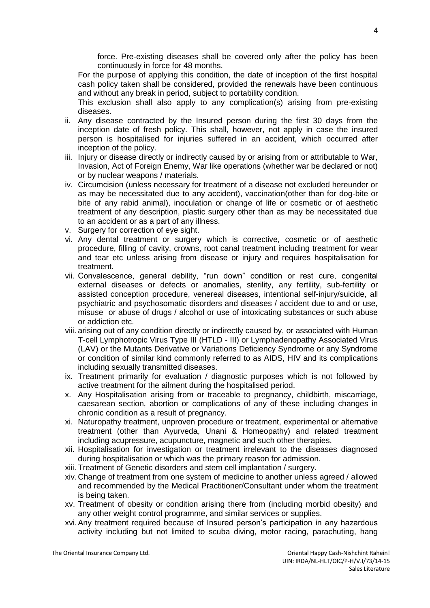force. Pre-existing diseases shall be covered only after the policy has been continuously in force for 48 months.

For the purpose of applying this condition, the date of inception of the first hospital cash policy taken shall be considered, provided the renewals have been continuous and without any break in period, subject to portability condition.

This exclusion shall also apply to any complication(s) arising from pre-existing diseases.

- ii. Any disease contracted by the Insured person during the first 30 days from the inception date of fresh policy. This shall, however, not apply in case the insured person is hospitalised for injuries suffered in an accident, which occurred after inception of the policy.
- iii. Injury or disease directly or indirectly caused by or arising from or attributable to War, Invasion, Act of Foreign Enemy, War like operations (whether war be declared or not) or by nuclear weapons / materials.
- iv. Circumcision (unless necessary for treatment of a disease not excluded hereunder or as may be necessitated due to any accident), vaccination(other than for dog-bite or bite of any rabid animal), inoculation or change of life or cosmetic or of aesthetic treatment of any description, plastic surgery other than as may be necessitated due to an accident or as a part of any illness.
- v. Surgery for correction of eye sight.
- vi. Any dental treatment or surgery which is corrective, cosmetic or of aesthetic procedure, filling of cavity, crowns, root canal treatment including treatment for wear and tear etc unless arising from disease or injury and requires hospitalisation for treatment.
- vii. Convalescence, general debility, "run down" condition or rest cure, congenital external diseases or defects or anomalies, sterility, any fertility, sub-fertility or assisted conception procedure, venereal diseases, intentional self-injury/suicide, all psychiatric and psychosomatic disorders and diseases / accident due to and or use, misuse or abuse of drugs / alcohol or use of intoxicating substances or such abuse or addiction etc.
- viii. arising out of any condition directly or indirectly caused by, or associated with Human T-cell Lymphotropic Virus Type III (HTLD - III) or Lymphadenopathy Associated Virus (LAV) or the Mutants Derivative or Variations Deficiency Syndrome or any Syndrome or condition of similar kind commonly referred to as AIDS, HIV and its complications including sexually transmitted diseases.
- ix. Treatment primarily for evaluation / diagnostic purposes which is not followed by active treatment for the ailment during the hospitalised period.
- x. Any Hospitalisation arising from or traceable to pregnancy, childbirth, miscarriage, caesarean section, abortion or complications of any of these including changes in chronic condition as a result of pregnancy.
- xi. Naturopathy treatment, unproven procedure or treatment, experimental or alternative treatment (other than Ayurveda, Unani & Homeopathy) and related treatment including acupressure, acupuncture, magnetic and such other therapies.
- xii. Hospitalisation for investigation or treatment irrelevant to the diseases diagnosed during hospitalisation or which was the primary reason for admission.
- xiii. Treatment of Genetic disorders and stem cell implantation / surgery.
- xiv. Change of treatment from one system of medicine to another unless agreed / allowed and recommended by the Medical Practitioner/Consultant under whom the treatment is being taken.
- xv. Treatment of obesity or condition arising there from (including morbid obesity) and any other weight control programme, and similar services or supplies.
- xvi.Any treatment required because of Insured person's participation in any hazardous activity including but not limited to scuba diving, motor racing, parachuting, hang

The Oriental Insurance Company Ltd. **Company 12 Company 12 Company 12 Company Cash-Nishchint Rahein!**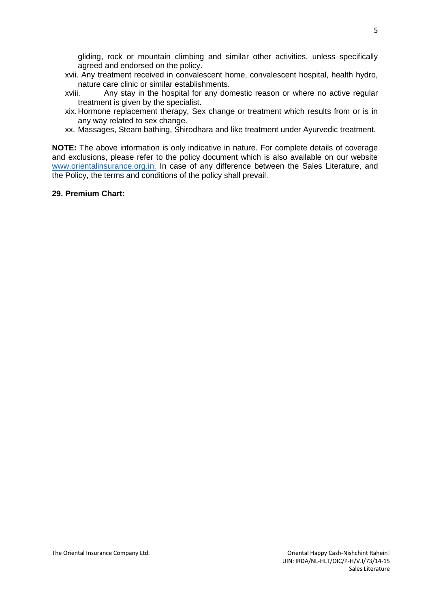gliding, rock or mountain climbing and similar other activities, unless specifically agreed and endorsed on the policy.

- xvii. Any treatment received in convalescent home, convalescent hospital, health hydro, nature care clinic or similar establishments.
- xviii. Any stay in the hospital for any domestic reason or where no active regular treatment is given by the specialist.
- xix. Hormone replacement therapy, Sex change or treatment which results from or is in any way related to sex change.
- xx. Massages, Steam bathing, Shirodhara and like treatment under Ayurvedic treatment.

**NOTE:** The above information is only indicative in nature. For complete details of coverage and exclusions, please refer to the policy document which is also available on our website [www.orientalinsurance.org.in.](http://www.orientalinsurance.org.in./) In case of any difference between the Sales Literature, and the Policy, the terms and conditions of the policy shall prevail.

## **29. Premium Chart:**